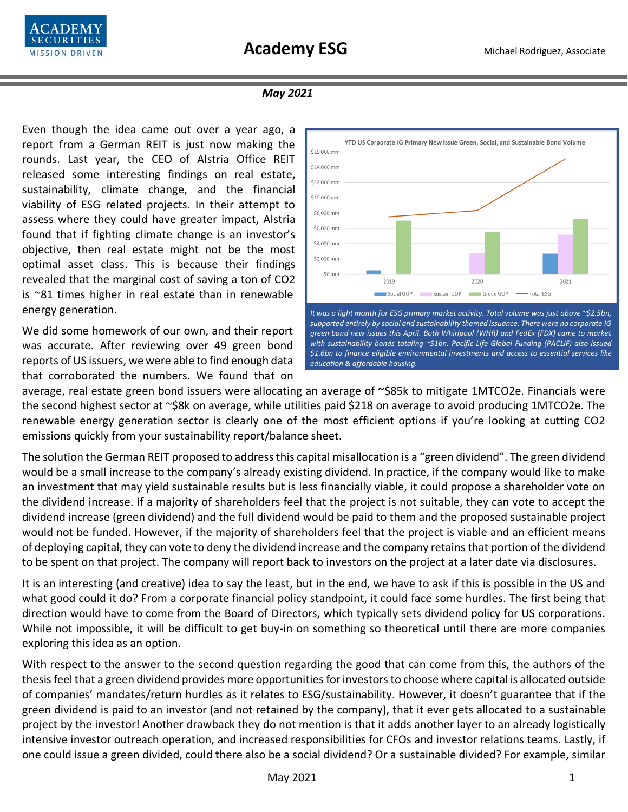

## *May 2021*

Even though the idea came out over a year ago, a report from a German REIT is just now making the rounds. Last year, the CEO of Alstria Office REIT released some interesting findings on real estate, sustainability, climate change, and the financial viability of ESG related projects. In their attempt to assess where they could have greater impact, Alstria found that if fighting climate change is an investor's objective, then real estate might not be the most optimal asset class. This is because their findings revealed that the marginal cost of saving a ton of CO2 is ~81 times higher in real estate than in renewable energy generation.

We did some homework of our own, and their report was accurate. After reviewing over 49 green bond reports of US issuers, we were able to find enough data that corroborated the numbers. We found that on



average, real estate green bond issuers were allocating an average of ~\$85k to mitigate 1MTCO2e. Financials were the second highest sector at ~\$8k on average, while utilities paid \$218 on average to avoid producing 1MTCO2e. The renewable energy generation sector is clearly one of the most efficient options if you're looking at cutting CO2 emissions quickly from your sustainability report/balance sheet.

The solution the German REIT proposed to address this capital misallocation is a "green dividend". The green dividend would be a small increase to the company's already existing dividend. In practice, if the company would like to make an investment that may yield sustainable results but is less financially viable, it could propose a shareholder vote on the dividend increase. If a majority of shareholders feel that the project is not suitable, they can vote to accept the dividend increase (green dividend) and the full dividend would be paid to them and the proposed sustainable project would not be funded. However, if the majority of shareholders feel that the project is viable and an efficient means of deploying capital, they can vote to deny the dividend increase and the company retains that portion of the dividend to be spent on that project. The company will report back to investors on the project at a later date via disclosures.

It is an interesting (and creative) idea to say the least, but in the end, we have to ask if this is possible in the US and what good could it do? From a corporate financial policy standpoint, it could face some hurdles. The first being that direction would have to come from the Board of Directors, which typically sets dividend policy for US corporations. While not impossible, it will be difficult to get buy-in on something so theoretical until there are more companies exploring this idea as an option.

With respect to the answer to the second question regarding the good that can come from this, the authors of the thesis feel that a green dividend provides more opportunities for investors to choose where capital is allocated outside of companies' mandates/return hurdles as it relates to ESG/sustainability. However, it doesn't guarantee that if the green dividend is paid to an investor (and not retained by the company), that it ever gets allocated to a sustainable project by the investor! Another drawback they do not mention is that it adds another layer to an already logistically intensive investor outreach operation, and increased responsibilities for CFOs and investor relations teams. Lastly, if one could issue a green divided, could there also be a social dividend? Or a sustainable divided? For example, similar